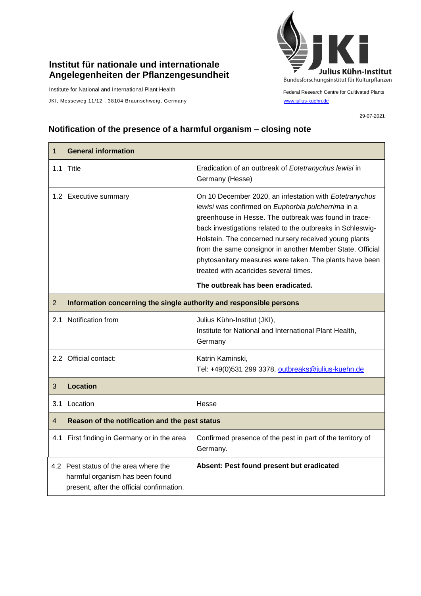## **Institut für nationale und internationale Angelegenheiten der Pflanzengesundheit**

Institute for National and International Plant Health

JKI, Messeweg 11/12, 38104 Braunschweig, Germany [www.julius-kuehn.de](http://www.julius-kuehn.de/)



Federal Research Centre for Cultivated Plants

29-07-2021

## **Notification of the presence of a harmful organism – closing note**

| 1              | <b>General information</b>                                                                                            |                                                                                                                                                                                                                                                                                                                                                                                                                                                                |  |
|----------------|-----------------------------------------------------------------------------------------------------------------------|----------------------------------------------------------------------------------------------------------------------------------------------------------------------------------------------------------------------------------------------------------------------------------------------------------------------------------------------------------------------------------------------------------------------------------------------------------------|--|
|                | 1.1 Title                                                                                                             | Eradication of an outbreak of Eotetranychus lewisi in<br>Germany (Hesse)                                                                                                                                                                                                                                                                                                                                                                                       |  |
|                | 1.2 Executive summary                                                                                                 | On 10 December 2020, an infestation with Eotetranychus<br>lewisi was confirmed on Euphorbia pulcherrima in a<br>greenhouse in Hesse. The outbreak was found in trace-<br>back investigations related to the outbreaks in Schleswig-<br>Holstein. The concerned nursery received young plants<br>from the same consignor in another Member State. Official<br>phytosanitary measures were taken. The plants have been<br>treated with acaricides several times. |  |
|                |                                                                                                                       | The outbreak has been eradicated.                                                                                                                                                                                                                                                                                                                                                                                                                              |  |
| $\overline{2}$ | Information concerning the single authority and responsible persons                                                   |                                                                                                                                                                                                                                                                                                                                                                                                                                                                |  |
|                | 2.1 Notification from                                                                                                 | Julius Kühn-Institut (JKI),<br>Institute for National and International Plant Health,<br>Germany                                                                                                                                                                                                                                                                                                                                                               |  |
|                | 2.2 Official contact:                                                                                                 | Katrin Kaminski,<br>Tel: +49(0)531 299 3378, outbreaks@julius-kuehn.de                                                                                                                                                                                                                                                                                                                                                                                         |  |
| 3              | <b>Location</b>                                                                                                       |                                                                                                                                                                                                                                                                                                                                                                                                                                                                |  |
|                | 3.1 Location                                                                                                          | Hesse                                                                                                                                                                                                                                                                                                                                                                                                                                                          |  |
| $\overline{4}$ | Reason of the notification and the pest status                                                                        |                                                                                                                                                                                                                                                                                                                                                                                                                                                                |  |
|                | 4.1 First finding in Germany or in the area                                                                           | Confirmed presence of the pest in part of the territory of<br>Germany.                                                                                                                                                                                                                                                                                                                                                                                         |  |
|                | 4.2 Pest status of the area where the<br>harmful organism has been found<br>present, after the official confirmation. | Absent: Pest found present but eradicated                                                                                                                                                                                                                                                                                                                                                                                                                      |  |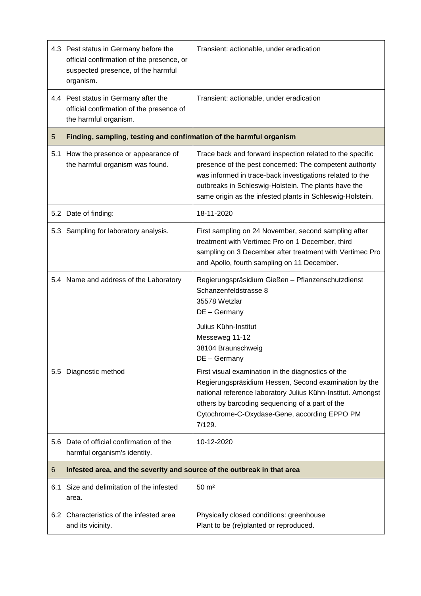|     | 4.3 Pest status in Germany before the<br>official confirmation of the presence, or<br>suspected presence, of the harmful<br>organism. | Transient: actionable, under eradication                                                                                                                                                                                                                                                              |  |
|-----|---------------------------------------------------------------------------------------------------------------------------------------|-------------------------------------------------------------------------------------------------------------------------------------------------------------------------------------------------------------------------------------------------------------------------------------------------------|--|
|     | 4.4 Pest status in Germany after the<br>official confirmation of the presence of<br>the harmful organism.                             | Transient: actionable, under eradication                                                                                                                                                                                                                                                              |  |
| 5   | Finding, sampling, testing and confirmation of the harmful organism                                                                   |                                                                                                                                                                                                                                                                                                       |  |
| 5.1 | How the presence or appearance of<br>the harmful organism was found.                                                                  | Trace back and forward inspection related to the specific<br>presence of the pest concerned: The competent authority<br>was informed in trace-back investigations related to the<br>outbreaks in Schleswig-Holstein. The plants have the<br>same origin as the infested plants in Schleswig-Holstein. |  |
|     | 5.2 Date of finding:                                                                                                                  | 18-11-2020                                                                                                                                                                                                                                                                                            |  |
|     | 5.3 Sampling for laboratory analysis.                                                                                                 | First sampling on 24 November, second sampling after<br>treatment with Vertimec Pro on 1 December, third<br>sampling on 3 December after treatment with Vertimec Pro<br>and Apollo, fourth sampling on 11 December.                                                                                   |  |
|     | 5.4 Name and address of the Laboratory                                                                                                | Regierungspräsidium Gießen - Pflanzenschutzdienst<br>Schanzenfeldstrasse 8<br>35578 Wetzlar<br>DE - Germany<br>Julius Kühn-Institut<br>Messeweg 11-12<br>38104 Braunschweig<br>DE - Germany                                                                                                           |  |
| 5.5 | Diagnostic method                                                                                                                     | First visual examination in the diagnostics of the<br>Regierungspräsidium Hessen, Second examination by the<br>national reference laboratory Julius Kühn-Institut. Amongst<br>others by barcoding sequencing of a part of the<br>Cytochrome-C-Oxydase-Gene, according EPPO PM<br>7/129.               |  |
| 5.6 | Date of official confirmation of the<br>harmful organism's identity.                                                                  | 10-12-2020                                                                                                                                                                                                                                                                                            |  |
| 6   | Infested area, and the severity and source of the outbreak in that area                                                               |                                                                                                                                                                                                                                                                                                       |  |
| 6.1 | Size and delimitation of the infested<br>area.                                                                                        | $50 \text{ m}^2$                                                                                                                                                                                                                                                                                      |  |
|     | 6.2 Characteristics of the infested area<br>and its vicinity.                                                                         | Physically closed conditions: greenhouse<br>Plant to be (re)planted or reproduced.                                                                                                                                                                                                                    |  |